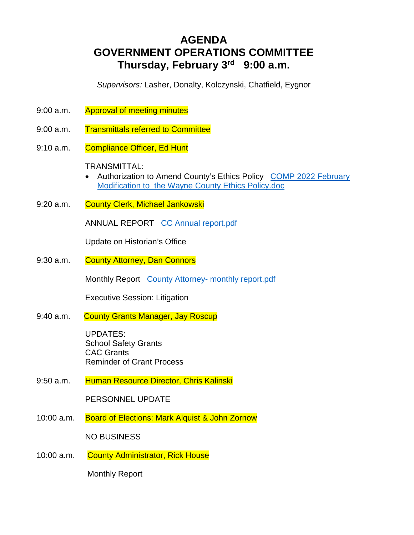# **AGENDA GOVERNMENT OPERATIONS COMMITTEE Thursday, February 3rd 9:00 a.m.**

*Supervisors:* Lasher, Donalty, Kolczynski, Chatfield, Eygnor

- 9:00 a.m. Approval of meeting minutes
- 9:00 a.m. Transmittals referred to Committee
- 9:10 a.m. Compliance Officer, Ed Hunt

# TRANSMITTAL:

- Authorization to Amend County's Ethics Policy COMP 2022 February Modification to the Wayne County Ethics Policy.doc
- 9:20 a.m. County Clerk, Michael Jankowski

ANNUAL REPORT CC Annual report.pdf

Update on Historian's Office

9:30 a.m. County Attorney, Dan Connors

Monthly Report County Attorney- monthly report.pdf

Executive Session: Litigation

9:40 a.m. County Grants Manager, Jay Roscup

UPDATES: School Safety Grants CAC Grants Reminder of Grant Process

9:50 a.m. Human Resource Director, Chris Kalinski

PERSONNEL UPDATE

10:00 a.m. Board of Elections: Mark Alquist & John Zornow

NO BUSINESS

10:00 a.m. County Administrator, Rick House

Monthly Report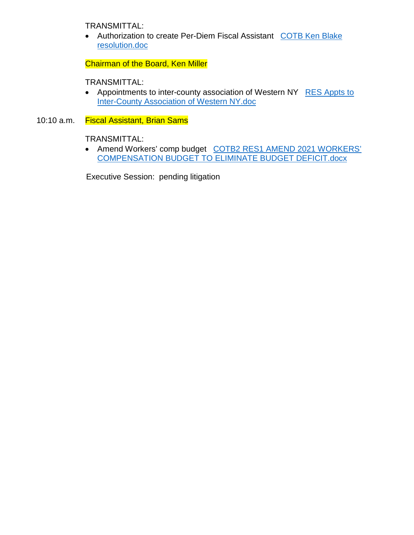TRANSMITTAL:

 Authorization to create Per-Diem Fiscal Assistant COTB Ken Blake resolution.doc

Chairman of the Board, Ken Miller

TRANSMITTAL:

- Appointments to inter-county association of Western NY RES Appts to Inter-County Association of Western NY.doc
- 10:10 a.m. Fiscal Assistant, Brian Sams

TRANSMITTAL:

• Amend Workers' comp budget COTB2 RES1 AMEND 2021 WORKERS' COMPENSATION BUDGET TO ELIMINATE BUDGET DEFICIT.docx

Executive Session: pending litigation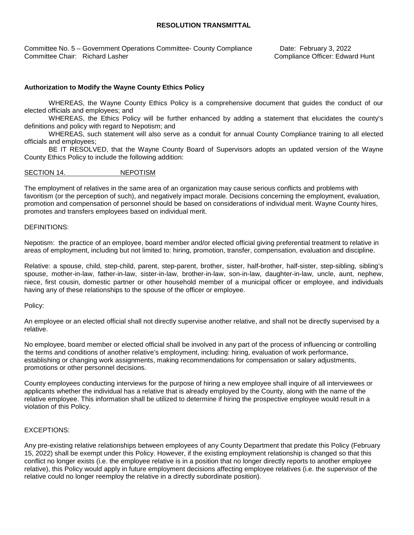### **RESOLUTION TRANSMITTAL**

Committee No. 5 – Government Operations Committee- County Compliance Date: February 3, 2022 Committee Chair: Richard Lasher Compliance Officer: Edward Hunt

### **Authorization to Modify the Wayne County Ethics Policy**

WHEREAS, the Wayne County Ethics Policy is a comprehensive document that guides the conduct of our elected officials and employees; and

WHEREAS, the Ethics Policy will be further enhanced by adding a statement that elucidates the county's definitions and policy with regard to Nepotism; and

WHEREAS, such statement will also serve as a conduit for annual County Compliance training to all elected officials and employees;

BE IT RESOLVED, that the Wayne County Board of Supervisors adopts an updated version of the Wayne County Ethics Policy to include the following addition:

### SECTION 14. NEPOTISM

The employment of relatives in the same area of an organization may cause serious conflicts and problems with favoritism (or the perception of such), and negatively impact morale. Decisions concerning the employment, evaluation, promotion and compensation of personnel should be based on considerations of individual merit. Wayne County hires, promotes and transfers employees based on individual merit.

### DEFINITIONS:

Nepotism: the practice of an employee, board member and/or elected official giving preferential treatment to relative in areas of employment, including but not limited to: hiring, promotion, transfer, compensation, evaluation and discipline.

Relative: a spouse, child, step-child, parent, step-parent, brother, sister, half-brother, half-sister, step-sibling, sibling's spouse, mother-in-law, father-in-law, sister-in-law, brother-in-law, son-in-law, daughter-in-law, uncle, aunt, nephew, niece, first cousin, domestic partner or other household member of a municipal officer or employee, and individuals having any of these relationships to the spouse of the officer or employee.

### Policy:

An employee or an elected official shall not directly supervise another relative, and shall not be directly supervised by a relative.

No employee, board member or elected official shall be involved in any part of the process of influencing or controlling the terms and conditions of another relative's employment, including: hiring, evaluation of work performance, establishing or changing work assignments, making recommendations for compensation or salary adjustments, promotions or other personnel decisions.

County employees conducting interviews for the purpose of hiring a new employee shall inquire of all interviewees or applicants whether the individual has a relative that is already employed by the County, along with the name of the relative employee. This information shall be utilized to determine if hiring the prospective employee would result in a violation of this Policy.

### EXCEPTIONS:

Any pre-existing relative relationships between employees of any County Department that predate this Policy (February 15, 2022) shall be exempt under this Policy. However, if the existing employment relationship is changed so that this conflict no longer exists (i.e. the employee relative is in a position that no longer directly reports to another employee relative), this Policy would apply in future employment decisions affecting employee relatives (i.e. the supervisor of the relative could no longer reemploy the relative in a directly subordinate position).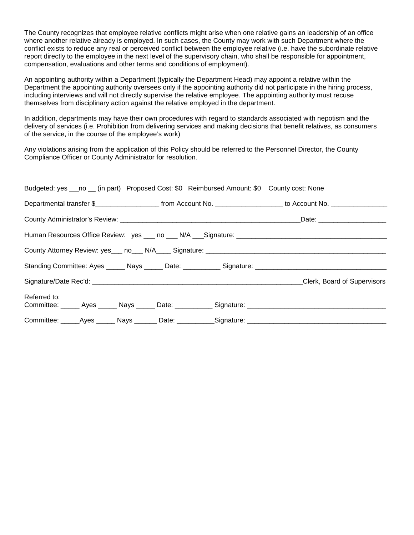The County recognizes that employee relative conflicts might arise when one relative gains an leadership of an office where another relative already is employed. In such cases, the County may work with such Department where the conflict exists to reduce any real or perceived conflict between the employee relative (i.e. have the subordinate relative report directly to the employee in the next level of the supervisory chain, who shall be responsible for appointment, compensation, evaluations and other terms and conditions of employment).

An appointing authority within a Department (typically the Department Head) may appoint a relative within the Department the appointing authority oversees only if the appointing authority did not participate in the hiring process, including interviews and will not directly supervise the relative employee. The appointing authority must recuse themselves from disciplinary action against the relative employed in the department.

In addition, departments may have their own procedures with regard to standards associated with nepotism and the delivery of services (i.e. Prohibition from delivering services and making decisions that benefit relatives, as consumers of the service, in the course of the employee's work)

Any violations arising from the application of this Policy should be referred to the Personnel Director, the County Compliance Officer or County Administrator for resolution.

| Budgeted: yes ___no __ (in part) Proposed Cost: \$0 Reimbursed Amount: \$0 County cost: None |  |  |                                                                                                                                         |  |  |
|----------------------------------------------------------------------------------------------|--|--|-----------------------------------------------------------------------------------------------------------------------------------------|--|--|
|                                                                                              |  |  | Departmental transfer \$________________________________from Account No. ____________________________ to Account No. __________________ |  |  |
|                                                                                              |  |  |                                                                                                                                         |  |  |
|                                                                                              |  |  |                                                                                                                                         |  |  |
|                                                                                              |  |  |                                                                                                                                         |  |  |
|                                                                                              |  |  |                                                                                                                                         |  |  |
|                                                                                              |  |  | Clerk, Board of Supervisors                                                                                                             |  |  |
| Referred to:                                                                                 |  |  |                                                                                                                                         |  |  |
|                                                                                              |  |  | Committee: _____Ayes ______ Nays _______ Date: ___________Signature: _______________________________                                    |  |  |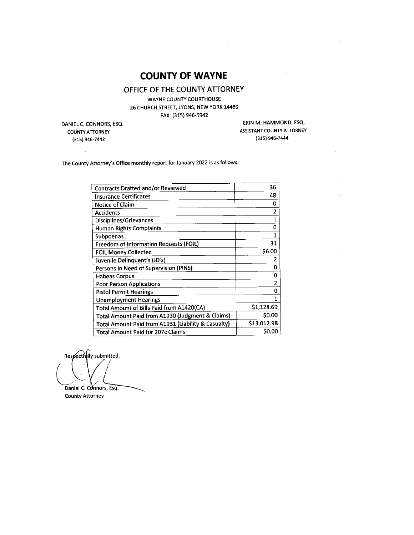# **COUNTY OF WAYNE**

# OFFICE OF THE COUNTY ATTORNEY

WAYNE COUNTY COURTHOUSE 26 CHURCH STREET, LYONS, NEW YORK 14489 FAX: (315) 946-5942

 $\bar{\alpha}$ 

DANIEL C. CONNORS, ESQ. **COUNTY ATTORNEY** (315) 946-7442

 $\mathcal{L}_{\mathcal{L}}$ 

ERIN M. HAMMOND, ESQ. ASSISTANT COUNTY ATTORNEY (315) 946-7444

 $\bar{z}$ 

The County Attorney's Office monthly report for January 2022 is as follows:

| 36             |
|----------------|
| 48             |
| 0              |
| 2              |
| $\mathbf{1}$   |
| ٥              |
| 1              |
| 31             |
| \$6.00         |
| 2              |
| 0              |
| 0              |
| $\overline{2}$ |
| n              |
|                |
| \$1,128.69     |
| \$0.00         |
| \$13,012.98    |
| <b>SO.OO</b>   |
|                |

Respectfully submitted,

Daniel C. Connors, Esq. **County Attorney**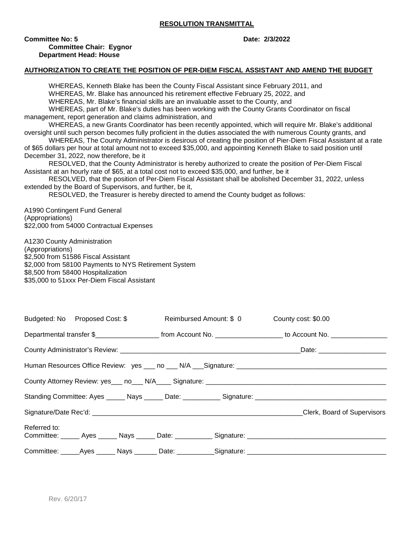### **RESOLUTION TRANSMITTAL**

**Committee No: 5 Date: 2/3/2022** 

**Committee Chair: Eygnor Department Head: House** 

## **AUTHORIZATION TO CREATE THE POSITION OF PER-DIEM FISCAL ASSISTANT AND AMEND THE BUDGET**

WHEREAS, Kenneth Blake has been the County Fiscal Assistant since February 2011, and WHEREAS, Mr. Blake has announced his retirement effective February 25, 2022, and WHEREAS, Mr. Blake's financial skills are an invaluable asset to the County, and WHEREAS, part of Mr. Blake's duties has been working with the County Grants Coordinator on fiscal management, report generation and claims administration, and WHEREAS, a new Grants Coordinator has been recently appointed, which will require Mr. Blake's additional oversight until such person becomes fully proficient in the duties associated the with numerous County grants, and WHEREAS, The County Administrator is desirous of creating the position of Pier-Diem Fiscal Assistant at a rate of \$65 dollars per hour at total amount not to exceed \$35,000, and appointing Kenneth Blake to said position until December 31, 2022, now therefore, be it RESOLVED, that the County Administrator is hereby authorized to create the position of Per-Diem Fiscal Assistant at an hourly rate of \$65, at a total cost not to exceed \$35,000, and further, be it RESOLVED, that the position of Per-Diem Fiscal Assistant shall be abolished December 31, 2022, unless extended by the Board of Supervisors, and further, be it, RESOLVED, the Treasurer is hereby directed to amend the County budget as follows: A1990 Contingent Fund General (Appropriations) \$22,000 from 54000 Contractual Expenses A1230 County Administration (Appropriations) \$2,500 from 51586 Fiscal Assistant \$2,000 from 58100 Payments to NYS Retirement System \$8,500 from 58400 Hospitalization \$35,000 to 51xxx Per-Diem Fiscal Assistant Budgeted: No Proposed Cost: \$ Reimbursed Amount: \$ 0 County cost: \$0.00 Departmental transfer \$\_\_\_\_\_\_\_\_\_\_\_\_\_\_\_\_\_\_\_\_\_\_\_ from Account No. \_\_\_\_\_\_\_\_\_\_\_\_\_\_\_\_\_\_\_\_\_\_ to Account No. \_\_\_\_\_\_\_\_\_\_\_\_\_\_ County Administrator's Review: \_\_\_\_\_\_\_\_\_\_\_\_\_\_\_\_\_\_\_\_\_\_\_\_\_\_\_\_\_\_\_\_\_\_\_\_\_\_\_\_\_\_\_\_\_\_\_\_Date: \_\_\_\_\_\_\_\_\_\_\_\_\_\_\_\_\_\_ Human Resources Office Review: ves \_\_\_ no \_\_\_ N/A \_\_ Signature:

|              |  | County Attorney Review: yes___ no___ N/A____ Signature: _________________________                   |                                                                                                      |
|--------------|--|-----------------------------------------------------------------------------------------------------|------------------------------------------------------------------------------------------------------|
|              |  |                                                                                                     | Standing Committee: Ayes ______ Nays ______ Date: ___________ Signature: ___________________________ |
|              |  |                                                                                                     | Clerk, Board of Supervisors                                                                          |
| Referred to: |  |                                                                                                     | Committee: ______ Ayes ______ Nays ______ Date: ___________ Signature: _____________________________ |
|              |  | Committee: ______Ayes _______ Nays ________ Date: ___________Signature: ___________________________ |                                                                                                      |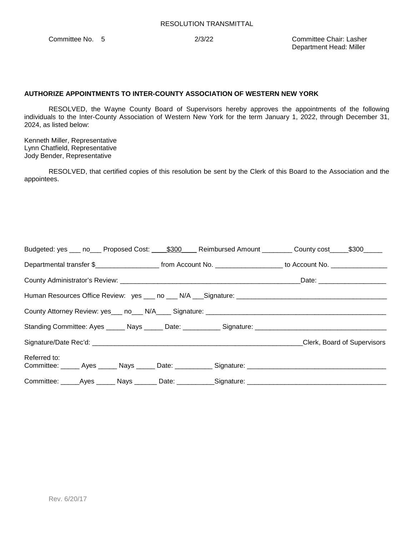Committee No. 5 2/3/22 Committee Chair: Lasher Department Head: Miller

## **AUTHORIZE APPOINTMENTS TO INTER-COUNTY ASSOCIATION OF WESTERN NEW YORK**

RESOLVED, the Wayne County Board of Supervisors hereby approves the appointments of the following individuals to the Inter-County Association of Western New York for the term January 1, 2022, through December 31, 2024, as listed below:

Kenneth Miller, Representative Lynn Chatfield, Representative Jody Bender, Representative

RESOLVED, that certified copies of this resolution be sent by the Clerk of this Board to the Association and the appointees.

| Budgeted: yes ___ no____ Proposed Cost: _____\$300 ___ Reimbursed Amount _________ County cost _____\$300______                          |  |                             |
|------------------------------------------------------------------------------------------------------------------------------------------|--|-----------------------------|
| Departmental transfer \$________________________________from Account No. ____________________________ to Account No. ___________________ |  |                             |
|                                                                                                                                          |  |                             |
|                                                                                                                                          |  |                             |
|                                                                                                                                          |  |                             |
|                                                                                                                                          |  |                             |
|                                                                                                                                          |  | Clerk, Board of Supervisors |
| Referred to:<br>Committee: Ayes Nays Date: Signature: Committee: Ayes Ayes Nays Date: Committee:                                         |  |                             |
| Committee: ______Ayes _______ Nays ________ Date: ___________Signature: ____________________________                                     |  |                             |